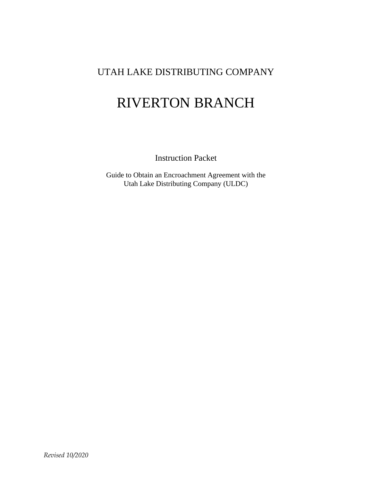# UTAH LAKE DISTRIBUTING COMPANY

# RIVERTON BRANCH

Instruction Packet

Guide to Obtain an Encroachment Agreement with the Utah Lake Distributing Company (ULDC)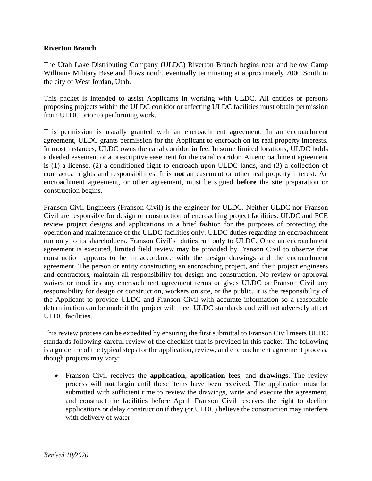#### **Riverton Branch**

The Utah Lake Distributing Company (ULDC) Riverton Branch begins near and below Camp Williams Military Base and flows north, eventually terminating at approximately 7000 South in the city of West Jordan, Utah.

This packet is intended to assist Applicants in working with ULDC. All entities or persons proposing projects within the ULDC corridor or affecting ULDC facilities must obtain permission from ULDC prior to performing work.

This permission is usually granted with an encroachment agreement. In an encroachment agreement, ULDC grants permission for the Applicant to encroach on its real property interests. In most instances, ULDC owns the canal corridor in fee. In some limited locations, ULDC holds a deeded easement or a prescriptive easement for the canal corridor. An encroachment agreement is (1) a license, (2) a conditioned right to encroach upon ULDC lands, and (3) a collection of contractual rights and responsibilities. It is **not** an easement or other real property interest. An encroachment agreement, or other agreement, must be signed **before** the site preparation or construction begins.

Franson Civil Engineers (Franson Civil) is the engineer for ULDC. Neither ULDC nor Franson Civil are responsible for design or construction of encroaching project facilities. ULDC and FCE review project designs and applications in a brief fashion for the purposes of protecting the operation and maintenance of the ULDC facilities only. ULDC duties regarding an encroachment run only to its shareholders. Franson Civil's duties run only to ULDC. Once an encroachment agreement is executed, limited field review may be provided by Franson Civil to observe that construction appears to be in accordance with the design drawings and the encroachment agreement. The person or entity constructing an encroaching project, and their project engineers and contractors, maintain all responsibility for design and construction. No review or approval waives or modifies any encroachment agreement terms or gives ULDC or Franson Civil any responsibility for design or construction, workers on site, or the public. It is the responsibility of the Applicant to provide ULDC and Franson Civil with accurate information so a reasonable determination can be made if the project will meet ULDC standards and will not adversely affect ULDC facilities.

This review process can be expedited by ensuring the first submittal to Franson Civil meets ULDC standards following careful review of the checklist that is provided in this packet. The following is a guideline of the typical steps for the application, review, and encroachment agreement process, though projects may vary:

• Franson Civil receives the **application**, **application fees**, and **drawings**. The review process will **not** begin until these items have been received. The application must be submitted with sufficient time to review the drawings, write and execute the agreement, and construct the facilities before April. Franson Civil reserves the right to decline applications or delay construction if they (or ULDC) believe the construction may interfere with delivery of water.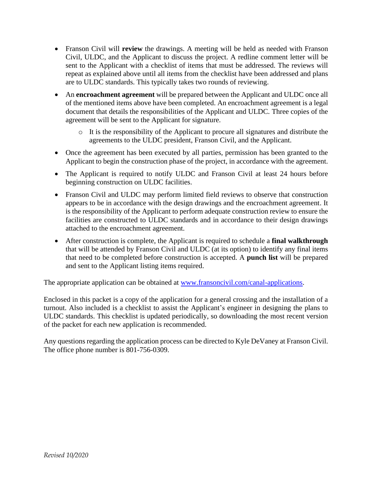- Franson Civil will **review** the drawings. A meeting will be held as needed with Franson Civil, ULDC, and the Applicant to discuss the project. A redline comment letter will be sent to the Applicant with a checklist of items that must be addressed. The reviews will repeat as explained above until all items from the checklist have been addressed and plans are to ULDC standards. This typically takes two rounds of reviewing.
- An **encroachment agreement** will be prepared between the Applicant and ULDC once all of the mentioned items above have been completed. An encroachment agreement is a legal document that details the responsibilities of the Applicant and ULDC. Three copies of the agreement will be sent to the Applicant for signature.
	- o It is the responsibility of the Applicant to procure all signatures and distribute the agreements to the ULDC president, Franson Civil, and the Applicant.
- Once the agreement has been executed by all parties, permission has been granted to the Applicant to begin the construction phase of the project, in accordance with the agreement.
- The Applicant is required to notify ULDC and Franson Civil at least 24 hours before beginning construction on ULDC facilities.
- Franson Civil and ULDC may perform limited field reviews to observe that construction appears to be in accordance with the design drawings and the encroachment agreement. It is the responsibility of the Applicant to perform adequate construction review to ensure the facilities are constructed to ULDC standards and in accordance to their design drawings attached to the encroachment agreement.
- After construction is complete, the Applicant is required to schedule a **final walkthrough** that will be attended by Franson Civil and ULDC (at its option) to identify any final items that need to be completed before construction is accepted. A **punch list** will be prepared and sent to the Applicant listing items required.

The appropriate application can be obtained at [www.fransoncivil.com/canal-applications.](http://www.fransoncivil.com/canal-applications)

Enclosed in this packet is a copy of the application for a general crossing and the installation of a turnout. Also included is a checklist to assist the Applicant's engineer in designing the plans to ULDC standards. This checklist is updated periodically, so downloading the most recent version of the packet for each new application is recommended.

Any questions regarding the application process can be directed to Kyle DeVaney at Franson Civil. The office phone number is 801-756-0309.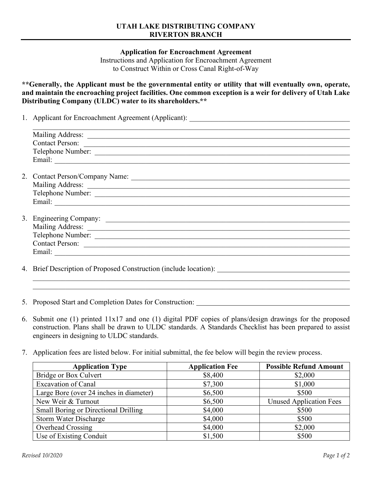#### **UTAH LAKE DISTRIBUTING COMPANY RIVERTON BRANCH**

**Application for Encroachment Agreement**

Instructions and Application for Encroachment Agreement to Construct Within or Cross Canal Right-of-Way

**\*\*Generally, the Applicant must be the governmental entity or utility that will eventually own, operate, and maintain the encroaching project facilities. One common exception is a weir for delivery of Utah Lake Distributing Company (ULDC) water to its shareholders.\*\***

1. Applicant for Encroachment Agreement (Applicant): \_\_\_\_\_\_\_\_\_\_\_\_\_\_\_\_\_\_\_\_\_\_\_\_\_\_\_

| Contact Person:                                                                 |
|---------------------------------------------------------------------------------|
|                                                                                 |
|                                                                                 |
|                                                                                 |
|                                                                                 |
|                                                                                 |
|                                                                                 |
|                                                                                 |
|                                                                                 |
|                                                                                 |
|                                                                                 |
|                                                                                 |
| Contact Person:                                                                 |
|                                                                                 |
|                                                                                 |
| 4. Brief Description of Proposed Construction (include location): _____________ |

- 5. Proposed Start and Completion Dates for Construction:
- 6. Submit one (1) printed 11x17 and one (1) digital PDF copies of plans/design drawings for the proposed construction. Plans shall be drawn to ULDC standards. A Standards Checklist has been prepared to assist engineers in designing to ULDC standards.

\_\_\_\_\_\_\_\_\_\_\_\_\_\_\_\_\_\_\_\_\_\_\_\_\_\_\_\_\_\_\_\_\_\_\_\_\_\_\_\_\_\_\_\_\_\_\_\_\_\_\_\_\_\_\_\_\_\_\_\_\_\_\_\_\_\_\_\_\_\_\_\_\_\_\_\_\_\_\_\_\_\_\_\_\_\_\_

7. Application fees are listed below. For initial submittal, the fee below will begin the review process.

| <b>Application Type</b>                     | <b>Application Fee</b> | <b>Possible Refund Amount</b>  |
|---------------------------------------------|------------------------|--------------------------------|
| Bridge or Box Culvert                       | \$8,400                | \$2,000                        |
| <b>Excavation of Canal</b>                  | \$7,300                | \$1,000                        |
| Large Bore (over 24 inches in diameter)     | \$6,500                | \$500                          |
| New Weir & Turnout                          | \$6,500                | <b>Unused Application Fees</b> |
| <b>Small Boring or Directional Drilling</b> | \$4,000                | \$500                          |
| <b>Storm Water Discharge</b>                | \$4,000                | \$500                          |
| <b>Overhead Crossing</b>                    | \$4,000                | \$2,000                        |
| Use of Existing Conduit                     | \$1,500                | \$500                          |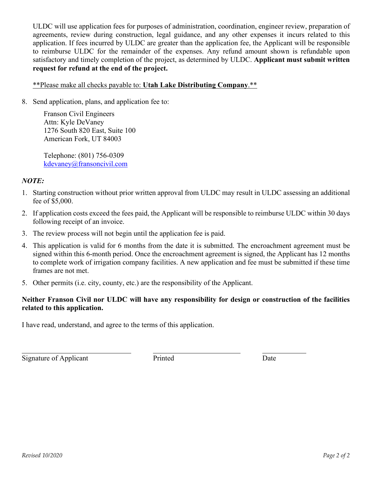ULDC will use application fees for purposes of administration, coordination, engineer review, preparation of agreements, review during construction, legal guidance, and any other expenses it incurs related to this application. If fees incurred by ULDC are greater than the application fee, the Applicant will be responsible to reimburse ULDC for the remainder of the expenses. Any refund amount shown is refundable upon satisfactory and timely completion of the project, as determined by ULDC. **Applicant must submit written request for refund at the end of the project.**

# \*\*Please make all checks payable to: **Utah Lake Distributing Company**.\*\*

8. Send application, plans, and application fee to:

Franson Civil Engineers Attn: Kyle DeVaney 1276 South 820 East, Suite 100 American Fork, UT 84003

Telephone: (801) 756-0309 kdevaney@fransoncivil.com

# *NOTE:*

- 1. Starting construction without prior written approval from ULDC may result in ULDC assessing an additional fee of \$5,000.
- 2. If application costs exceed the fees paid, the Applicant will be responsible to reimburse ULDC within 30 days following receipt of an invoice.
- 3. The review process will not begin until the application fee is paid.
- 4. This application is valid for 6 months from the date it is submitted. The encroachment agreement must be signed within this 6-month period. Once the encroachment agreement is signed, the Applicant has 12 months to complete work of irrigation company facilities. A new application and fee must be submitted if these time frames are not met.
- 5. Other permits (i.e. city, county, etc.) are the responsibility of the Applicant.

# **Neither Franson Civil nor ULDC will have any responsibility for design or construction of the facilities related to this application.**

I have read, understand, and agree to the terms of this application.

Signature of Applicant Printed Date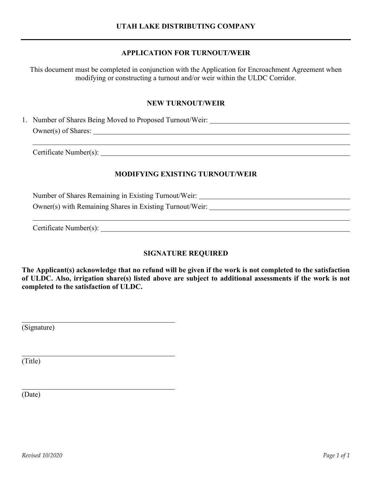# **APPLICATION FOR TURNOUT/WEIR**

This document must be completed in conjunction with the Application for Encroachment Agreement when modifying or constructing a turnout and/or weir within the ULDC Corridor.

## **NEW TURNOUT/WEIR**

1. Number of Shares Being Moved to Proposed Turnout/Weir: Owner(s) of Shares:

Certificate Number(s): Letter and the contract of the contract of the contract of the contract of the contract of the contract of the contract of the contract of the contract of the contract of the contract of the contract

# **MODIFYING EXISTING TURNOUT/WEIR**

Number of Shares Remaining in Existing Turnout/Weir: Owner(s) with Remaining Shares in Existing Turnout/Weir:

Certificate Number(s):

# **SIGNATURE REQUIRED**

**The Applicant(s) acknowledge that no refund will be given if the work is not completed to the satisfaction of ULDC. Also, irrigation share(s) listed above are subject to additional assessments if the work is not completed to the satisfaction of ULDC.**

(Signature)

(Title)

(Date)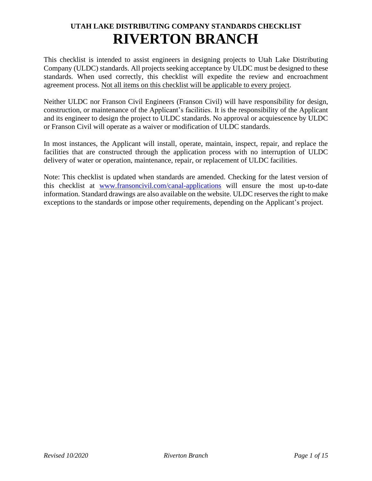# **UTAH LAKE DISTRIBUTING COMPANY STANDARDS CHECKLIST RIVERTON BRANCH**

This checklist is intended to assist engineers in designing projects to Utah Lake Distributing Company (ULDC) standards. All projects seeking acceptance by ULDC must be designed to these standards. When used correctly, this checklist will expedite the review and encroachment agreement process. Not all items on this checklist will be applicable to every project.

Neither ULDC nor Franson Civil Engineers (Franson Civil) will have responsibility for design, construction, or maintenance of the Applicant's facilities. It is the responsibility of the Applicant and its engineer to design the project to ULDC standards. No approval or acquiescence by ULDC or Franson Civil will operate as a waiver or modification of ULDC standards.

In most instances, the Applicant will install, operate, maintain, inspect, repair, and replace the facilities that are constructed through the application process with no interruption of ULDC delivery of water or operation, maintenance, repair, or replacement of ULDC facilities.

Note: This checklist is updated when standards are amended. Checking for the latest version of this checklist at [www.fransoncivil.com/canal-applications](http://www.fransoncivil.com/canal-applications) will ensure the most up-to-date information. Standard drawings are also available on the website. ULDC reserves the right to make exceptions to the standards or impose other requirements, depending on the Applicant's project.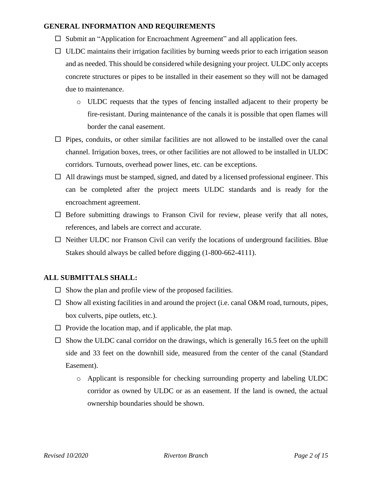#### **GENERAL INFORMATION AND REQUIREMENTS**

- $\Box$  Submit an "Application for Encroachment Agreement" and all application fees.
- $\Box$  ULDC maintains their irrigation facilities by burning weeds prior to each irrigation season and as needed. This should be considered while designing your project. ULDC only accepts concrete structures or pipes to be installed in their easement so they will not be damaged due to maintenance.
	- o ULDC requests that the types of fencing installed adjacent to their property be fire-resistant. During maintenance of the canals it is possible that open flames will border the canal easement.
- $\Box$  Pipes, conduits, or other similar facilities are not allowed to be installed over the canal channel. Irrigation boxes, trees, or other facilities are not allowed to be installed in ULDC corridors. Turnouts, overhead power lines, etc. can be exceptions.
- $\Box$  All drawings must be stamped, signed, and dated by a licensed professional engineer. This can be completed after the project meets ULDC standards and is ready for the encroachment agreement.
- $\Box$  Before submitting drawings to Franson Civil for review, please verify that all notes, references, and labels are correct and accurate.
- $\Box$  Neither ULDC nor Franson Civil can verify the locations of underground facilities. Blue Stakes should always be called before digging (1-800-662-4111).

#### **ALL SUBMITTALS SHALL:**

- $\Box$  Show the plan and profile view of the proposed facilities.
- $\Box$  Show all existing facilities in and around the project (i.e. canal O&M road, turnouts, pipes, box culverts, pipe outlets, etc.).
- $\Box$  Provide the location map, and if applicable, the plat map.
- $\square$  Show the ULDC canal corridor on the drawings, which is generally 16.5 feet on the uphill side and 33 feet on the downhill side, measured from the center of the canal (Standard Easement).
	- o Applicant is responsible for checking surrounding property and labeling ULDC corridor as owned by ULDC or as an easement. If the land is owned, the actual ownership boundaries should be shown.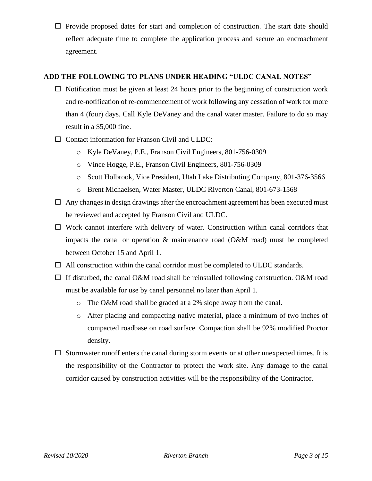$\Box$  Provide proposed dates for start and completion of construction. The start date should reflect adequate time to complete the application process and secure an encroachment agreement.

# **ADD THE FOLLOWING TO PLANS UNDER HEADING "ULDC CANAL NOTES"**

- $\Box$  Notification must be given at least 24 hours prior to the beginning of construction work and re-notification of re-commencement of work following any cessation of work for more than 4 (four) days. Call Kyle DeVaney and the canal water master. Failure to do so may result in a \$5,000 fine.
- $\Box$  Contact information for Franson Civil and ULDC:
	- o Kyle DeVaney, P.E., Franson Civil Engineers, 801-756-0309
	- o Vince Hogge, P.E., Franson Civil Engineers, 801-756-0309
	- o Scott Holbrook, Vice President, Utah Lake Distributing Company, 801-376-3566
	- o Brent Michaelsen, Water Master, ULDC Riverton Canal, 801-673-1568
- $\Box$  Any changes in design drawings after the encroachment agreement has been executed must be reviewed and accepted by Franson Civil and ULDC.
- $\Box$  Work cannot interfere with delivery of water. Construction within canal corridors that impacts the canal or operation & maintenance road (O&M road) must be completed between October 15 and April 1.
- $\Box$  All construction within the canal corridor must be completed to ULDC standards.
- $\Box$  If disturbed, the canal O&M road shall be reinstalled following construction. O&M road must be available for use by canal personnel no later than April 1.
	- o The O&M road shall be graded at a 2% slope away from the canal.
	- o After placing and compacting native material, place a minimum of two inches of compacted roadbase on road surface. Compaction shall be 92% modified Proctor density.
- $\square$  Stormwater runoff enters the canal during storm events or at other unexpected times. It is the responsibility of the Contractor to protect the work site. Any damage to the canal corridor caused by construction activities will be the responsibility of the Contractor.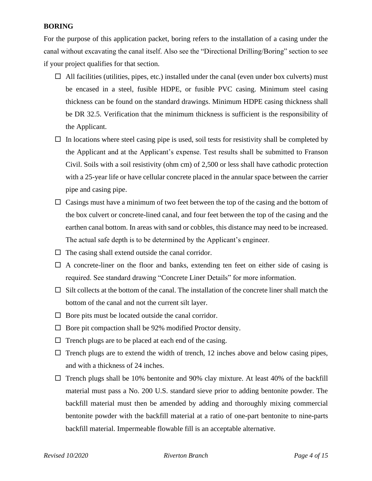#### **BORING**

For the purpose of this application packet, boring refers to the installation of a casing under the canal without excavating the canal itself. Also see the "Directional Drilling/Boring" section to see if your project qualifies for that section.

- $\Box$  All facilities (utilities, pipes, etc.) installed under the canal (even under box culverts) must be encased in a steel, fusible HDPE, or fusible PVC casing. Minimum steel casing thickness can be found on the standard drawings. Minimum HDPE casing thickness shall be DR 32.5. Verification that the minimum thickness is sufficient is the responsibility of the Applicant.
- $\Box$  In locations where steel casing pipe is used, soil tests for resistivity shall be completed by the Applicant and at the Applicant's expense. Test results shall be submitted to Franson Civil. Soils with a soil resistivity (ohm cm) of 2,500 or less shall have cathodic protection with a 25-year life or have cellular concrete placed in the annular space between the carrier pipe and casing pipe.
- $\Box$  Casings must have a minimum of two feet between the top of the casing and the bottom of the box culvert or concrete-lined canal, and four feet between the top of the casing and the earthen canal bottom. In areas with sand or cobbles, this distance may need to be increased. The actual safe depth is to be determined by the Applicant's engineer.
- $\Box$  The casing shall extend outside the canal corridor.
- $\Box$  A concrete-liner on the floor and banks, extending ten feet on either side of casing is required. See standard drawing "Concrete Liner Details" for more information.
- $\Box$  Silt collects at the bottom of the canal. The installation of the concrete liner shall match the bottom of the canal and not the current silt layer.
- $\Box$  Bore pits must be located outside the canal corridor.
- $\Box$  Bore pit compaction shall be 92% modified Proctor density.
- $\Box$  Trench plugs are to be placed at each end of the casing.
- $\Box$  Trench plugs are to extend the width of trench, 12 inches above and below casing pipes, and with a thickness of 24 inches.
- $\Box$  Trench plugs shall be 10% bentonite and 90% clay mixture. At least 40% of the backfill material must pass a No. 200 U.S. standard sieve prior to adding bentonite powder. The backfill material must then be amended by adding and thoroughly mixing commercial bentonite powder with the backfill material at a ratio of one-part bentonite to nine-parts backfill material. Impermeable flowable fill is an acceptable alternative.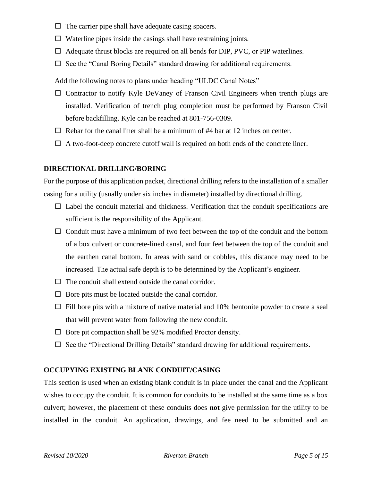- $\Box$  The carrier pipe shall have adequate casing spacers.
- $\Box$  Waterline pipes inside the casings shall have restraining joints.
- $\Box$  Adequate thrust blocks are required on all bends for DIP, PVC, or PIP waterlines.
- $\Box$  See the "Canal Boring Details" standard drawing for additional requirements.

#### Add the following notes to plans under heading "ULDC Canal Notes"

- $\Box$  Contractor to notify Kyle DeVaney of Franson Civil Engineers when trench plugs are installed. Verification of trench plug completion must be performed by Franson Civil before backfilling. Kyle can be reached at 801-756-0309.
- $\Box$  Rebar for the canal liner shall be a minimum of #4 bar at 12 inches on center.
- $\Box$  A two-foot-deep concrete cutoff wall is required on both ends of the concrete liner.

#### **DIRECTIONAL DRILLING/BORING**

For the purpose of this application packet, directional drilling refers to the installation of a smaller casing for a utility (usually under six inches in diameter) installed by directional drilling.

- $\Box$  Label the conduit material and thickness. Verification that the conduit specifications are sufficient is the responsibility of the Applicant.
- $\Box$  Conduit must have a minimum of two feet between the top of the conduit and the bottom of a box culvert or concrete-lined canal, and four feet between the top of the conduit and the earthen canal bottom. In areas with sand or cobbles, this distance may need to be increased. The actual safe depth is to be determined by the Applicant's engineer.
- $\Box$  The conduit shall extend outside the canal corridor.
- $\Box$  Bore pits must be located outside the canal corridor.
- $\Box$  Fill bore pits with a mixture of native material and 10% bentonite powder to create a seal that will prevent water from following the new conduit.
- $\Box$  Bore pit compaction shall be 92% modified Proctor density.
- $\Box$  See the "Directional Drilling Details" standard drawing for additional requirements.

#### **OCCUPYING EXISTING BLANK CONDUIT/CASING**

This section is used when an existing blank conduit is in place under the canal and the Applicant wishes to occupy the conduit. It is common for conduits to be installed at the same time as a box culvert; however, the placement of these conduits does **not** give permission for the utility to be installed in the conduit. An application, drawings, and fee need to be submitted and an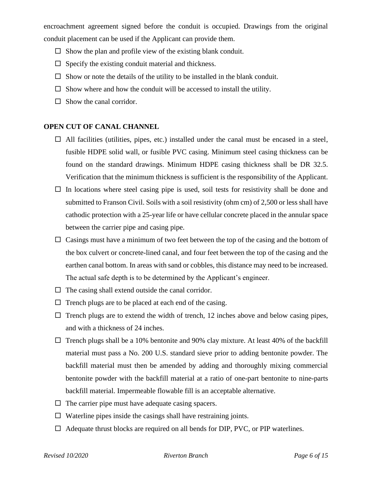encroachment agreement signed before the conduit is occupied. Drawings from the original conduit placement can be used if the Applicant can provide them.

- $\Box$  Show the plan and profile view of the existing blank conduit.
- $\Box$  Specify the existing conduit material and thickness.
- $\Box$  Show or note the details of the utility to be installed in the blank conduit.
- $\square$  Show where and how the conduit will be accessed to install the utility.
- $\Box$  Show the canal corridor.

#### **OPEN CUT OF CANAL CHANNEL**

- $\Box$  All facilities (utilities, pipes, etc.) installed under the canal must be encased in a steel, fusible HDPE solid wall, or fusible PVC casing. Minimum steel casing thickness can be found on the standard drawings. Minimum HDPE casing thickness shall be DR 32.5. Verification that the minimum thickness is sufficient is the responsibility of the Applicant.
- $\Box$  In locations where steel casing pipe is used, soil tests for resistivity shall be done and submitted to Franson Civil. Soils with a soil resistivity (ohm cm) of 2,500 or less shall have cathodic protection with a 25-year life or have cellular concrete placed in the annular space between the carrier pipe and casing pipe.
- $\Box$  Casings must have a minimum of two feet between the top of the casing and the bottom of the box culvert or concrete-lined canal, and four feet between the top of the casing and the earthen canal bottom. In areas with sand or cobbles, this distance may need to be increased. The actual safe depth is to be determined by the Applicant's engineer.
- $\Box$  The casing shall extend outside the canal corridor.
- $\Box$  Trench plugs are to be placed at each end of the casing.
- $\Box$  Trench plugs are to extend the width of trench, 12 inches above and below casing pipes, and with a thickness of 24 inches.
- $\Box$  Trench plugs shall be a 10% bentonite and 90% clay mixture. At least 40% of the backfill material must pass a No. 200 U.S. standard sieve prior to adding bentonite powder. The backfill material must then be amended by adding and thoroughly mixing commercial bentonite powder with the backfill material at a ratio of one-part bentonite to nine-parts backfill material. Impermeable flowable fill is an acceptable alternative.
- $\Box$  The carrier pipe must have adequate casing spacers.
- $\Box$  Waterline pipes inside the casings shall have restraining joints.
- $\Box$  Adequate thrust blocks are required on all bends for DIP, PVC, or PIP waterlines.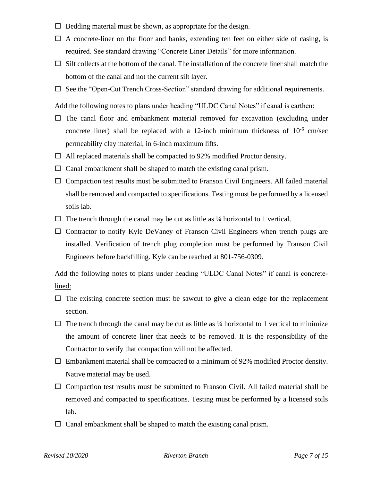- $\Box$  Bedding material must be shown, as appropriate for the design.
- $\Box$  A concrete-liner on the floor and banks, extending ten feet on either side of casing, is required. See standard drawing "Concrete Liner Details" for more information.
- $\Box$  Silt collects at the bottom of the canal. The installation of the concrete liner shall match the bottom of the canal and not the current silt layer.
- $\Box$  See the "Open-Cut Trench Cross-Section" standard drawing for additional requirements.

### Add the following notes to plans under heading "ULDC Canal Notes" if canal is earthen:

- $\Box$  The canal floor and embankment material removed for excavation (excluding under concrete liner) shall be replaced with a 12-inch minimum thickness of  $10^{-6}$  cm/sec permeability clay material, in 6-inch maximum lifts.
- $\Box$  All replaced materials shall be compacted to 92% modified Proctor density.
- $\Box$  Canal embankment shall be shaped to match the existing canal prism.
- $\Box$  Compaction test results must be submitted to Franson Civil Engineers. All failed material shall be removed and compacted to specifications. Testing must be performed by a licensed soils lab.
- $\Box$  The trench through the canal may be cut as little as  $\frac{1}{4}$  horizontal to 1 vertical.
- $\Box$  Contractor to notify Kyle DeVaney of Franson Civil Engineers when trench plugs are installed. Verification of trench plug completion must be performed by Franson Civil Engineers before backfilling. Kyle can be reached at 801-756-0309.

Add the following notes to plans under heading "ULDC Canal Notes" if canal is concretelined:

- $\Box$  The existing concrete section must be sawcut to give a clean edge for the replacement section.
- $\Box$  The trench through the canal may be cut as little as  $\frac{1}{4}$  horizontal to 1 vertical to minimize the amount of concrete liner that needs to be removed. It is the responsibility of the Contractor to verify that compaction will not be affected.
- $\Box$  Embankment material shall be compacted to a minimum of 92% modified Proctor density. Native material may be used.
- $\Box$  Compaction test results must be submitted to Franson Civil. All failed material shall be removed and compacted to specifications. Testing must be performed by a licensed soils lab.
- $\Box$  Canal embankment shall be shaped to match the existing canal prism.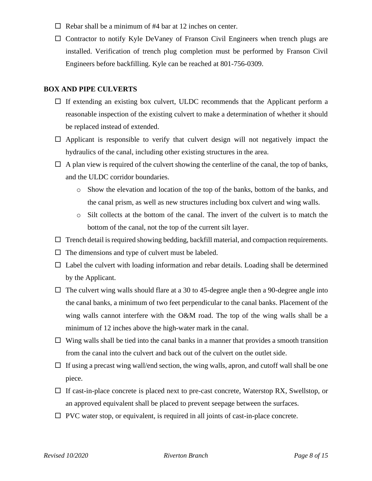- $\Box$  Rebar shall be a minimum of #4 bar at 12 inches on center.
- $\Box$  Contractor to notify Kyle DeVaney of Franson Civil Engineers when trench plugs are installed. Verification of trench plug completion must be performed by Franson Civil Engineers before backfilling. Kyle can be reached at 801-756-0309.

#### **BOX AND PIPE CULVERTS**

- $\Box$  If extending an existing box culvert, ULDC recommends that the Applicant perform a reasonable inspection of the existing culvert to make a determination of whether it should be replaced instead of extended.
- $\Box$  Applicant is responsible to verify that culvert design will not negatively impact the hydraulics of the canal, including other existing structures in the area.
- $\Box$  A plan view is required of the culvert showing the centerline of the canal, the top of banks, and the ULDC corridor boundaries.
	- o Show the elevation and location of the top of the banks, bottom of the banks, and the canal prism, as well as new structures including box culvert and wing walls.
	- o Silt collects at the bottom of the canal. The invert of the culvert is to match the bottom of the canal, not the top of the current silt layer.
- $\Box$  Trench detail is required showing bedding, backfill material, and compaction requirements.
- $\Box$  The dimensions and type of culvert must be labeled.
- $\Box$  Label the culvert with loading information and rebar details. Loading shall be determined by the Applicant.
- $\Box$  The culvert wing walls should flare at a 30 to 45-degree angle then a 90-degree angle into the canal banks, a minimum of two feet perpendicular to the canal banks. Placement of the wing walls cannot interfere with the O&M road. The top of the wing walls shall be a minimum of 12 inches above the high-water mark in the canal.
- $\Box$  Wing walls shall be tied into the canal banks in a manner that provides a smooth transition from the canal into the culvert and back out of the culvert on the outlet side.
- $\Box$  If using a precast wing wall/end section, the wing walls, apron, and cutoff wall shall be one piece.
- $\Box$  If cast-in-place concrete is placed next to pre-cast concrete, Waterstop RX, Swellstop, or an approved equivalent shall be placed to prevent seepage between the surfaces.
- $\Box$  PVC water stop, or equivalent, is required in all joints of cast-in-place concrete.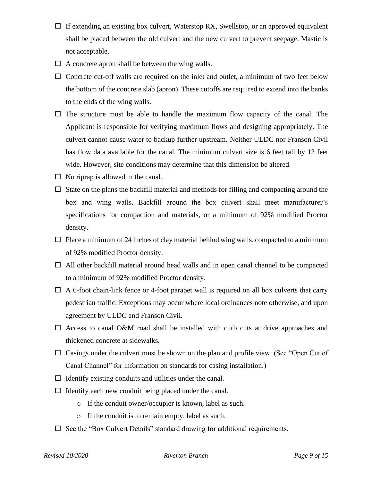- $\Box$  If extending an existing box culvert, Waterstop RX, Swellstop, or an approved equivalent shall be placed between the old culvert and the new culvert to prevent seepage. Mastic is not acceptable.
- $\Box$  A concrete apron shall be between the wing walls.
- $\Box$  Concrete cut-off walls are required on the inlet and outlet, a minimum of two feet below the bottom of the concrete slab (apron). These cutoffs are required to extend into the banks to the ends of the wing walls.
- $\Box$  The structure must be able to handle the maximum flow capacity of the canal. The Applicant is responsible for verifying maximum flows and designing appropriately. The culvert cannot cause water to backup further upstream. Neither ULDC nor Franson Civil has flow data available for the canal. The minimum culvert size is 6 feet tall by 12 feet wide. However, site conditions may determine that this dimension be altered.
- $\Box$  No riprap is allowed in the canal.
- $\Box$  State on the plans the backfill material and methods for filling and compacting around the box and wing walls. Backfill around the box culvert shall meet manufacturer's specifications for compaction and materials, or a minimum of 92% modified Proctor density.
- $\Box$  Place a minimum of 24 inches of clay material behind wing walls, compacted to a minimum of 92% modified Proctor density.
- $\Box$  All other backfill material around head walls and in open canal channel to be compacted to a minimum of 92% modified Proctor density.
- $\Box$  A 6-foot chain-link fence or 4-foot parapet wall is required on all box culverts that carry pedestrian traffic. Exceptions may occur where local ordinances note otherwise, and upon agreement by ULDC and Franson Civil.
- $\Box$  Access to canal O&M road shall be installed with curb cuts at drive approaches and thickened concrete at sidewalks.
- $\Box$  Casings under the culvert must be shown on the plan and profile view. (See "Open Cut of Canal Channel" for information on standards for casing installation.)
- $\Box$  Identify existing conduits and utilities under the canal.
- $\Box$  Identify each new conduit being placed under the canal.
	- o If the conduit owner/occupier is known, label as such.
	- o If the conduit is to remain empty, label as such.
- $\Box$  See the "Box Culvert Details" standard drawing for additional requirements.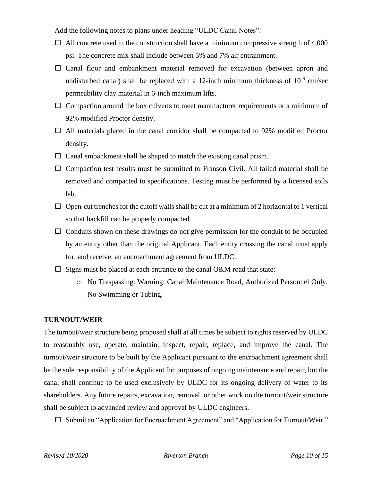#### Add the following notes to plans under heading "ULDC Canal Notes":

- $\Box$  All concrete used in the construction shall have a minimum compressive strength of 4,000 psi. The concrete mix shall include between 5% and 7% air entrainment.
- $\Box$  Canal floor and embankment material removed for excavation (between apron and undisturbed canal) shall be replaced with a 12-inch minimum thickness of  $10^{-6}$  cm/sec permeability clay material in 6-inch maximum lifts.
- $\Box$  Compaction around the box culverts to meet manufacturer requirements or a minimum of 92% modified Proctor density.
- $\Box$  All materials placed in the canal corridor shall be compacted to 92% modified Proctor density.
- $\Box$  Canal embankment shall be shaped to match the existing canal prism.
- $\Box$  Compaction test results must be submitted to Franson Civil. All failed material shall be removed and compacted to specifications. Testing must be performed by a licensed soils lab.
- $\Box$  Open-cut trenches for the cutoff walls shall be cut at a minimum of 2 horizontal to 1 vertical so that backfill can be properly compacted.
- $\Box$  Conduits shown on these drawings do not give permission for the conduit to be occupied by an entity other than the original Applicant. Each entity crossing the canal must apply for, and receive, an encroachment agreement from ULDC.
- $\Box$  Signs must be placed at each entrance to the canal O&M road that state:
	- o No Trespassing. Warning: Canal Maintenance Road, Authorized Personnel Only. No Swimming or Tubing.

# **TURNOUT/WEIR**

The turnout/weir structure being proposed shall at all times be subject to rights reserved by ULDC to reasonably use, operate, maintain, inspect, repair, replace, and improve the canal. The turnout/weir structure to be built by the Applicant pursuant to the encroachment agreement shall be the sole responsibility of the Applicant for purposes of ongoing maintenance and repair, but the canal shall continue to be used exclusively by ULDC for its ongoing delivery of water to its shareholders. Any future repairs, excavation, removal, or other work on the turnout/weir structure shall be subject to advanced review and approval by ULDC engineers.

 $\square$  Submit an "Application for Encroachment Agreement" and "Application for Turnout/Weir."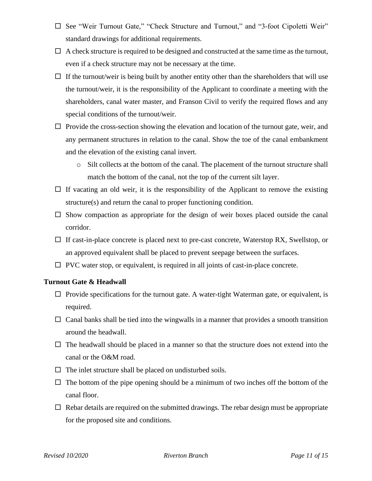- □ See "Weir Turnout Gate," "Check Structure and Turnout," and "3-foot Cipoletti Weir" standard drawings for additional requirements.
- $\Box$  A check structure is required to be designed and constructed at the same time as the turnout, even if a check structure may not be necessary at the time.
- $\Box$  If the turnout/weir is being built by another entity other than the shareholders that will use the turnout/weir, it is the responsibility of the Applicant to coordinate a meeting with the shareholders, canal water master, and Franson Civil to verify the required flows and any special conditions of the turnout/weir.
- $\Box$  Provide the cross-section showing the elevation and location of the turnout gate, weir, and any permanent structures in relation to the canal. Show the toe of the canal embankment and the elevation of the existing canal invert.
	- o Silt collects at the bottom of the canal. The placement of the turnout structure shall match the bottom of the canal, not the top of the current silt layer.
- $\Box$  If vacating an old weir, it is the responsibility of the Applicant to remove the existing structure(s) and return the canal to proper functioning condition.
- $\square$  Show compaction as appropriate for the design of weir boxes placed outside the canal corridor.
- $\Box$  If cast-in-place concrete is placed next to pre-cast concrete, Waterstop RX, Swellstop, or an approved equivalent shall be placed to prevent seepage between the surfaces.
- $\Box$  PVC water stop, or equivalent, is required in all joints of cast-in-place concrete.

#### **Turnout Gate & Headwall**

- $\Box$  Provide specifications for the turnout gate. A water-tight Waterman gate, or equivalent, is required.
- $\Box$  Canal banks shall be tied into the wingwalls in a manner that provides a smooth transition around the headwall.
- $\Box$  The headwall should be placed in a manner so that the structure does not extend into the canal or the O&M road.
- $\Box$  The inlet structure shall be placed on undisturbed soils.
- $\Box$  The bottom of the pipe opening should be a minimum of two inches off the bottom of the canal floor.
- $\Box$  Rebar details are required on the submitted drawings. The rebar design must be appropriate for the proposed site and conditions.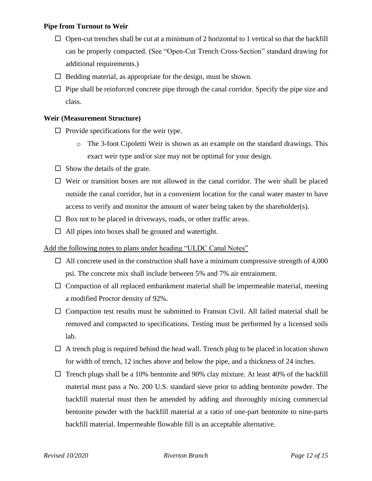#### **Pipe from Turnout to Weir**

- $\Box$  Open-cut trenches shall be cut at a minimum of 2 horizontal to 1 vertical so that the backfill can be properly compacted. (See "Open-Cut Trench Cross-Section" standard drawing for additional requirements.)
- $\Box$  Bedding material, as appropriate for the design, must be shown.
- $\Box$  Pipe shall be reinforced concrete pipe through the canal corridor. Specify the pipe size and class.

#### **Weir (Measurement Structure)**

- $\Box$  Provide specifications for the weir type.
	- o The 3-foot Cipoletti Weir is shown as an example on the standard drawings. This exact weir type and/or size may not be optimal for your design.
- $\Box$  Show the details of the grate.
- $\Box$  Weir or transition boxes are not allowed in the canal corridor. The weir shall be placed outside the canal corridor, but in a convenient location for the canal water master to have access to verify and monitor the amount of water being taken by the shareholder(s).
- $\Box$  Box not to be placed in driveways, roads, or other traffic areas.
- $\Box$  All pipes into boxes shall be grouted and watertight.

#### Add the following notes to plans under heading "ULDC Canal Notes"

- $\Box$  All concrete used in the construction shall have a minimum compressive strength of 4,000 psi. The concrete mix shall include between 5% and 7% air entrainment.
- $\Box$  Compaction of all replaced embankment material shall be impermeable material, meeting a modified Proctor density of 92%.
- $\Box$  Compaction test results must be submitted to Franson Civil. All failed material shall be removed and compacted to specifications. Testing must be performed by a licensed soils lab.
- $\Box$  A trench plug is required behind the head wall. Trench plug to be placed in location shown for width of trench, 12 inches above and below the pipe, and a thickness of 24 inches.
- $\Box$  Trench plugs shall be a 10% bentonite and 90% clay mixture. At least 40% of the backfill material must pass a No. 200 U.S. standard sieve prior to adding bentonite powder. The backfill material must then be amended by adding and thoroughly mixing commercial bentonite powder with the backfill material at a ratio of one-part bentonite to nine-parts backfill material. Impermeable flowable fill is an acceptable alternative.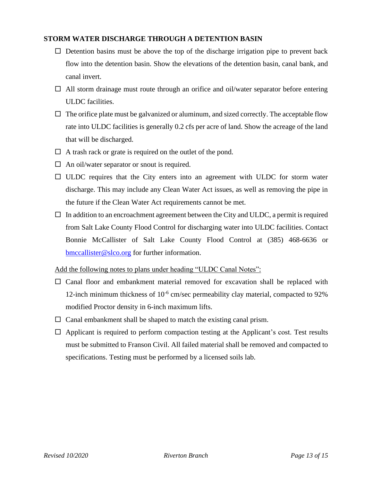#### **STORM WATER DISCHARGE THROUGH A DETENTION BASIN**

- $\Box$  Detention basins must be above the top of the discharge irrigation pipe to prevent back flow into the detention basin. Show the elevations of the detention basin, canal bank, and canal invert.
- $\Box$  All storm drainage must route through an orifice and oil/water separator before entering ULDC facilities.
- $\Box$  The orifice plate must be galvanized or aluminum, and sized correctly. The acceptable flow rate into ULDC facilities is generally 0.2 cfs per acre of land. Show the acreage of the land that will be discharged.
- $\Box$  A trash rack or grate is required on the outlet of the pond.
- $\Box$  An oil/water separator or snout is required.
- $\Box$  ULDC requires that the City enters into an agreement with ULDC for storm water discharge. This may include any Clean Water Act issues, as well as removing the pipe in the future if the Clean Water Act requirements cannot be met.
- $\Box$  In addition to an encroachment agreement between the City and ULDC, a permit is required from Salt Lake County Flood Control for discharging water into ULDC facilities. Contact Bonnie McCallister of Salt Lake County Flood Control at (385) 468-6636 or <bmccallister@slco.org> for further information.

Add the following notes to plans under heading "ULDC Canal Notes":

- $\square$  Canal floor and embankment material removed for excavation shall be replaced with 12-inch minimum thickness of  $10^{-6}$  cm/sec permeability clay material, compacted to 92% modified Proctor density in 6-inch maximum lifts.
- $\Box$  Canal embankment shall be shaped to match the existing canal prism.
- $\Box$  Applicant is required to perform compaction testing at the Applicant's cost. Test results must be submitted to Franson Civil. All failed material shall be removed and compacted to specifications. Testing must be performed by a licensed soils lab.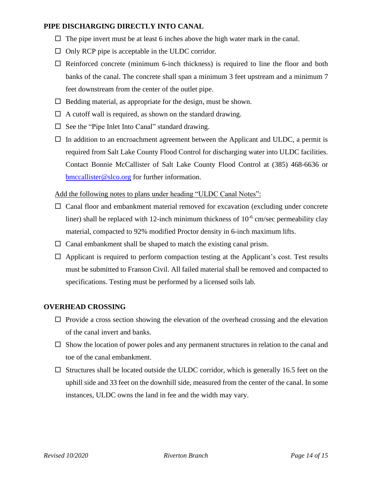#### **PIPE DISCHARGING DIRECTLY INTO CANAL**

- $\Box$  The pipe invert must be at least 6 inches above the high water mark in the canal.
- $\Box$  Only RCP pipe is acceptable in the ULDC corridor.
- $\Box$  Reinforced concrete (minimum 6-inch thickness) is required to line the floor and both banks of the canal. The concrete shall span a minimum 3 feet upstream and a minimum 7 feet downstream from the center of the outlet pipe.
- $\Box$  Bedding material, as appropriate for the design, must be shown.
- $\Box$  A cutoff wall is required, as shown on the standard drawing.
- $\square$  See the "Pipe Inlet Into Canal" standard drawing.
- $\Box$  In addition to an encroachment agreement between the Applicant and ULDC, a permit is required from Salt Lake County Flood Control for discharging water into ULDC facilities. Contact Bonnie McCallister of Salt Lake County Flood Control at (385) 468-6636 or [bmccallister@slco.org](mailto:bmccallister@slco.org) for further information.

#### Add the following notes to plans under heading "ULDC Canal Notes":

- $\Box$  Canal floor and embankment material removed for excavation (excluding under concrete liner) shall be replaced with 12-inch minimum thickness of  $10^{-6}$  cm/sec permeability clay material, compacted to 92% modified Proctor density in 6-inch maximum lifts.
- $\Box$  Canal embankment shall be shaped to match the existing canal prism.
- $\Box$  Applicant is required to perform compaction testing at the Applicant's cost. Test results must be submitted to Franson Civil. All failed material shall be removed and compacted to specifications. Testing must be performed by a licensed soils lab.

#### **OVERHEAD CROSSING**

- $\Box$  Provide a cross section showing the elevation of the overhead crossing and the elevation of the canal invert and banks.
- $\Box$  Show the location of power poles and any permanent structures in relation to the canal and toe of the canal embankment.
- $\Box$  Structures shall be located outside the ULDC corridor, which is generally 16.5 feet on the uphill side and 33 feet on the downhill side, measured from the center of the canal. In some instances, ULDC owns the land in fee and the width may vary.